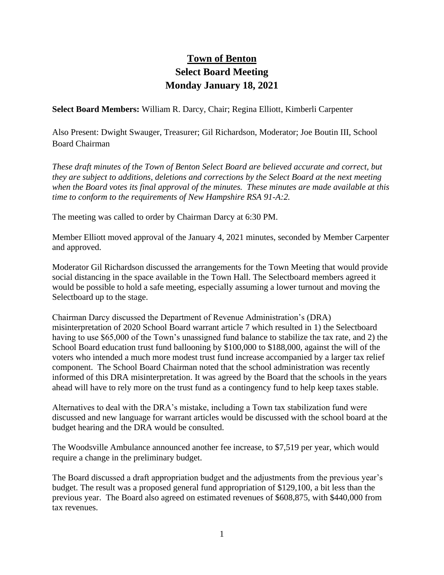## **Town of Benton Select Board Meeting Monday January 18, 2021**

**Select Board Members:** William R. Darcy, Chair; Regina Elliott, Kimberli Carpenter

Also Present: Dwight Swauger, Treasurer; Gil Richardson, Moderator; Joe Boutin III, School Board Chairman

*These draft minutes of the Town of Benton Select Board are believed accurate and correct, but they are subject to additions, deletions and corrections by the Select Board at the next meeting when the Board votes its final approval of the minutes. These minutes are made available at this time to conform to the requirements of New Hampshire RSA 91-A:2.*

The meeting was called to order by Chairman Darcy at 6:30 PM.

Member Elliott moved approval of the January 4, 2021 minutes, seconded by Member Carpenter and approved.

Moderator Gil Richardson discussed the arrangements for the Town Meeting that would provide social distancing in the space available in the Town Hall. The Selectboard members agreed it would be possible to hold a safe meeting, especially assuming a lower turnout and moving the Selectboard up to the stage.

Chairman Darcy discussed the Department of Revenue Administration's (DRA) misinterpretation of 2020 School Board warrant article 7 which resulted in 1) the Selectboard having to use \$65,000 of the Town's unassigned fund balance to stabilize the tax rate, and 2) the School Board education trust fund ballooning by \$100,000 to \$188,000, against the will of the voters who intended a much more modest trust fund increase accompanied by a larger tax relief component. The School Board Chairman noted that the school administration was recently informed of this DRA misinterpretation. It was agreed by the Board that the schools in the years ahead will have to rely more on the trust fund as a contingency fund to help keep taxes stable.

Alternatives to deal with the DRA's mistake, including a Town tax stabilization fund were discussed and new language for warrant articles would be discussed with the school board at the budget hearing and the DRA would be consulted.

The Woodsville Ambulance announced another fee increase, to \$7,519 per year, which would require a change in the preliminary budget.

The Board discussed a draft appropriation budget and the adjustments from the previous year's budget. The result was a proposed general fund appropriation of \$129,100, a bit less than the previous year. The Board also agreed on estimated revenues of \$608,875, with \$440,000 from tax revenues.